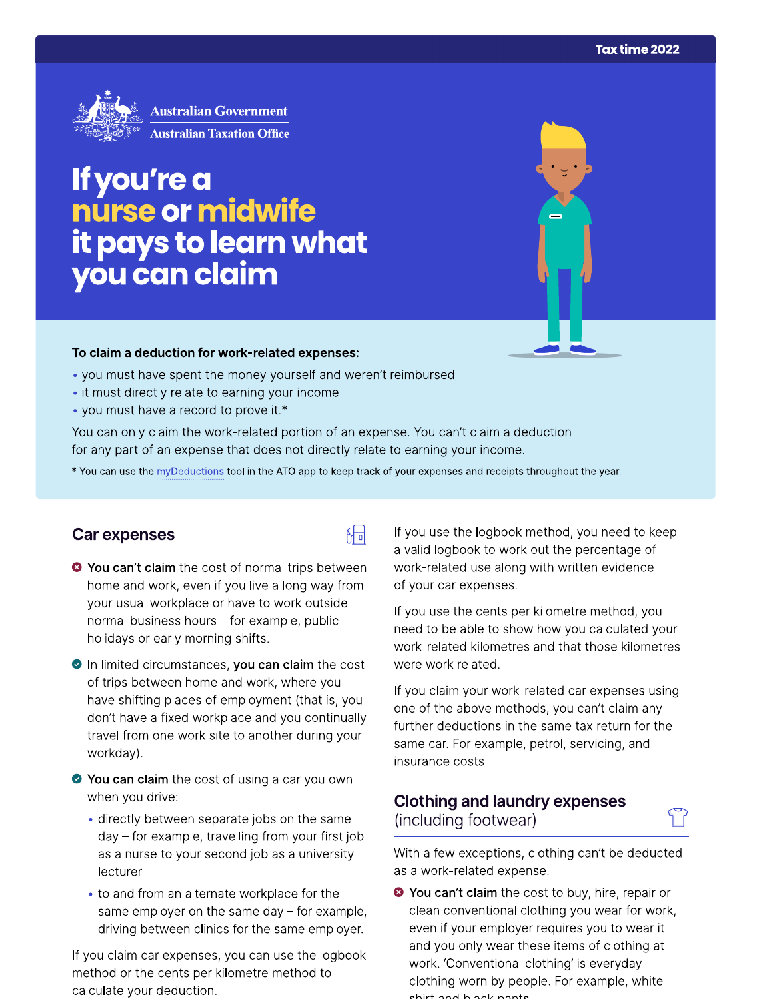

# If you're a nurse or midwife it pays to learn what you can claim

#### To claim a deduction for work-related expenses:

- you must have spent the money yourself and weren't reimbursed
- it must directly relate to earning your income
- you must have a record to prove it.\*

You can only claim the work-related portion of an expense. You can't claim a deduction for any part of an expense that does not directly relate to earning your income.

\* You can use the myDeductions tool in the ATO app to keep track of your expenses and receipts throughout the year.

品

## Car expenses

- <sup>●</sup> You can't claim the cost of normal trips between home and work, even if you live a long way from your usual workplace or have to work outside normal business hours - for example, public holidays or early morning shifts.
- In limited circumstances, you can claim the cost of trips between home and work, where you have shifting places of employment (that is, you don't have a fixed workplace and you continually travel from one work site to another during your workday).
- ◆ You can claim the cost of using a car you own when you drive:
	- directly between separate jobs on the same day - for example, travelling from your first job as a nurse to your second job as a university lecturer
	- to and from an alternate workplace for the same employer on the same day  $-$  for example, driving between clinics for the same employer.

If you claim car expenses, you can use the logbook method or the cents per kilometre method to calculate your deduction.

If you use the logbook method, you need to keep a valid logbook to work out the percentage of work-related use along with written evidence of your car expenses.

If you use the cents per kilometre method, you need to be able to show how you calculated your work-related kilometres and that those kilometres were work related.

If you claim your work-related car expenses using one of the above methods, you can't claim any further deductions in the same tax return for the same car. For example, petrol, servicing, and insurance costs.

# **Clothing and laundry expenses** (including footwear)

With a few exceptions, clothing can't be deducted as a work-related expense.

<sup>●</sup> You can't claim the cost to buy, hire, repair or clean conventional clothing you wear for work, even if your employer requires you to wear it and you only wear these items of clothing at work. 'Conventional clothing' is everyday clothing worn by people. For example, white obirt and blook ponto